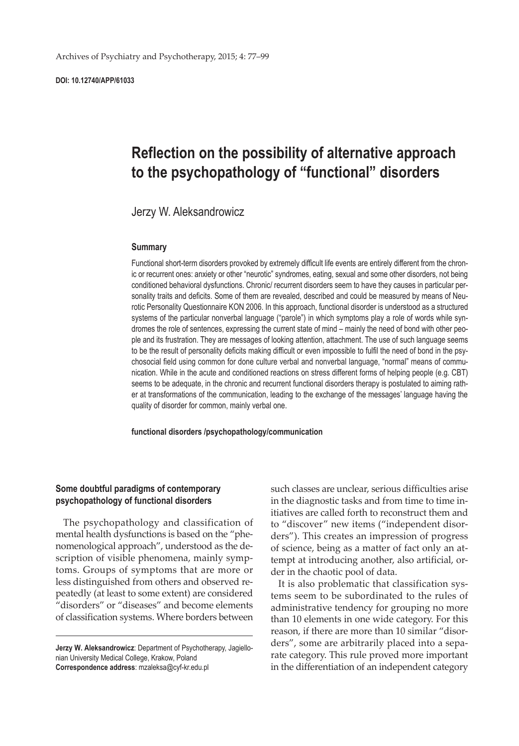**DOI: 10.12740/APP/61033**

# **Reflection on the possibility of alternative approach to the psychopathology of "functional" disorders**

Jerzy W. Aleksandrowicz

#### **Summary**

Functional short-term disorders provoked by extremely difficult life events are entirely different from the chronic or recurrent ones: anxiety or other "neurotic" syndromes, eating, sexual and some other disorders, not being conditioned behavioral dysfunctions. Chronic/ recurrent disorders seem to have they causes in particular personality traits and deficits. Some of them are revealed, described and could be measured by means of Neurotic Personality Questionnaire KON 2006. In this approach, functional disorder is understood as a structured systems of the particular nonverbal language ("parole") in which symptoms play a role of words while syndromes the role of sentences, expressing the current state of mind – mainly the need of bond with other people and its frustration. They are messages of looking attention, attachment. The use of such language seems to be the result of personality deficits making difficult or even impossible to fulfil the need of bond in the psychosocial field using common for done culture verbal and nonverbal language, "normal" means of communication. While in the acute and conditioned reactions on stress different forms of helping people (e.g. CBT) seems to be adequate, in the chronic and recurrent functional disorders therapy is postulated to aiming rather at transformations of the communication, leading to the exchange of the messages' language having the quality of disorder for common, mainly verbal one.

**functional disorders /psychopathology/communication**

## **Some doubtful paradigms of contemporary psychopathology of functional disorders**

The psychopathology and classification of mental health dysfunctions is based on the "phenomenological approach", understood as the description of visible phenomena, mainly symptoms. Groups of symptoms that are more or less distinguished from others and observed repeatedly (at least to some extent) are considered "disorders" or "diseases" and become elements of classification systems. Where borders between

**Jerzy W. Aleksandrowicz**: Department of Psychotherapy, Jagiellonian University Medical College, Krakow, Poland **Correspondence address**: mzaleksa@cyf-kr.edu.pl

such classes are unclear, serious difficulties arise in the diagnostic tasks and from time to time initiatives are called forth to reconstruct them and to "discover" new items ("independent disorders"). This creates an impression of progress of science, being as a matter of fact only an attempt at introducing another, also artificial, order in the chaotic pool of data.

It is also problematic that classification systems seem to be subordinated to the rules of administrative tendency for grouping no more than 10 elements in one wide category. For this reason, if there are more than 10 similar "disorders", some are arbitrarily placed into a separate category. This rule proved more important in the differentiation of an independent category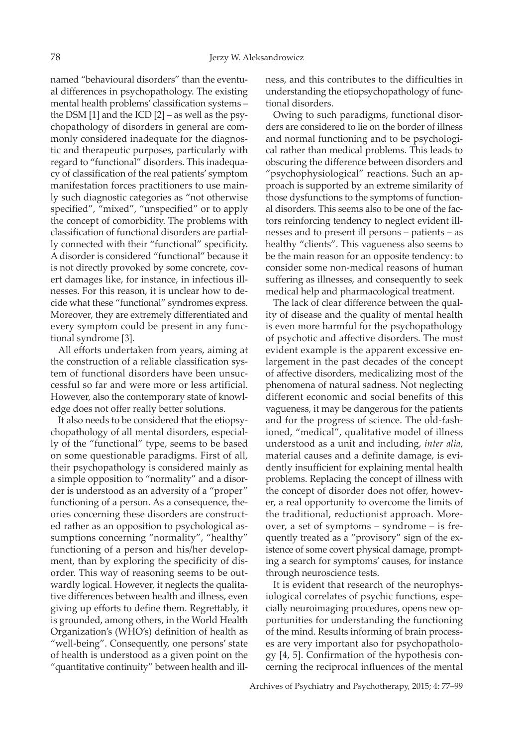named "behavioural disorders" than the eventual differences in psychopathology. The existing mental health problems' classification systems – the DSM [1] and the ICD [2] – as well as the psychopathology of disorders in general are commonly considered inadequate for the diagnostic and therapeutic purposes, particularly with regard to "functional" disorders. This inadequacy of classification of the real patients' symptom manifestation forces practitioners to use mainly such diagnostic categories as "not otherwise specified", "mixed", "unspecified" or to apply the concept of comorbidity. The problems with classification of functional disorders are partially connected with their "functional" specificity. A disorder is considered "functional" because it is not directly provoked by some concrete, covert damages like, for instance, in infectious illnesses. For this reason, it is unclear how to decide what these "functional" syndromes express. Moreover, they are extremely differentiated and every symptom could be present in any functional syndrome [3].

All efforts undertaken from years, aiming at the construction of a reliable classification system of functional disorders have been unsuccessful so far and were more or less artificial. However, also the contemporary state of knowledge does not offer really better solutions.

It also needs to be considered that the etiopsychopathology of all mental disorders, especially of the "functional" type, seems to be based on some questionable paradigms. First of all, their psychopathology is considered mainly as a simple opposition to "normality" and a disorder is understood as an adversity of a "proper" functioning of a person. As a consequence, theories concerning these disorders are constructed rather as an opposition to psychological assumptions concerning "normality", "healthy" functioning of a person and his/her development, than by exploring the specificity of disorder. This way of reasoning seems to be outwardly logical. However, it neglects the qualitative differences between health and illness, even giving up efforts to define them. Regrettably, it is grounded, among others, in the World Health Organization's (WHO's) definition of health as "well-being". Consequently, one persons' state of health is understood as a given point on the "quantitative continuity" between health and illness, and this contributes to the difficulties in understanding the etiopsychopathology of functional disorders.

Owing to such paradigms, functional disorders are considered to lie on the border of illness and normal functioning and to be psychological rather than medical problems. This leads to obscuring the difference between disorders and "psychophysiological" reactions. Such an approach is supported by an extreme similarity of those dysfunctions to the symptoms of functional disorders. This seems also to be one of the factors reinforcing tendency to neglect evident illnesses and to present ill persons – patients – as healthy "clients". This vagueness also seems to be the main reason for an opposite tendency: to consider some non-medical reasons of human suffering as illnesses, and consequently to seek medical help and pharmacological treatment.

The lack of clear difference between the quality of disease and the quality of mental health is even more harmful for the psychopathology of psychotic and affective disorders. The most evident example is the apparent excessive enlargement in the past decades of the concept of affective disorders, medicalizing most of the phenomena of natural sadness. Not neglecting different economic and social benefits of this vagueness, it may be dangerous for the patients and for the progress of science. The old-fashioned, "medical", qualitative model of illness understood as a unit and including, *inter alia*, material causes and a definite damage, is evidently insufficient for explaining mental health problems. Replacing the concept of illness with the concept of disorder does not offer, however, a real opportunity to overcome the limits of the traditional, reductionist approach. Moreover, a set of symptoms – syndrome – is frequently treated as a "provisory" sign of the existence of some covert physical damage, prompting a search for symptoms' causes, for instance through neuroscience tests.

It is evident that research of the neurophysiological correlates of psychic functions, especially neuroimaging procedures, opens new opportunities for understanding the functioning of the mind. Results informing of brain processes are very important also for psychopathology [4, 5]. Confirmation of the hypothesis concerning the reciprocal influences of the mental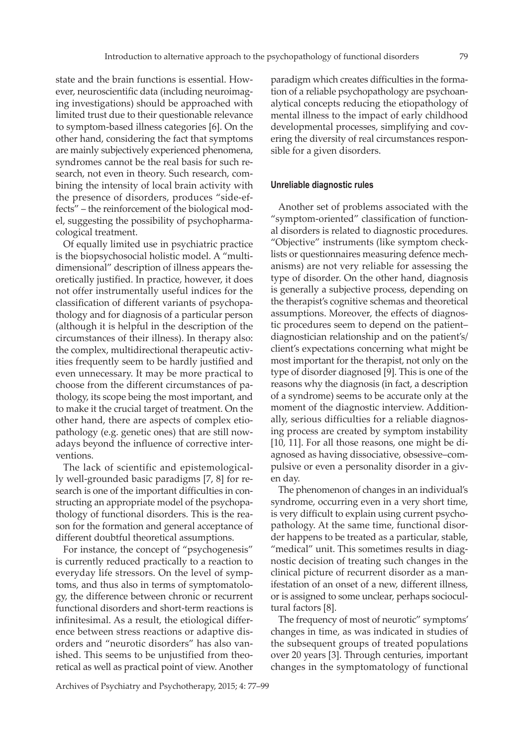state and the brain functions is essential. However, neuroscientific data (including neuroimaging investigations) should be approached with limited trust due to their questionable relevance to symptom-based illness categories [6]. On the other hand, considering the fact that symptoms are mainly subjectively experienced phenomena, syndromes cannot be the real basis for such research, not even in theory. Such research, combining the intensity of local brain activity with the presence of disorders, produces "side-effects" – the reinforcement of the biological model, suggesting the possibility of psychopharmacological treatment.

Of equally limited use in psychiatric practice is the biopsychosocial holistic model. A "multidimensional" description of illness appears theoretically justified. In practice, however, it does not offer instrumentally useful indices for the classification of different variants of psychopathology and for diagnosis of a particular person (although it is helpful in the description of the circumstances of their illness). In therapy also: the complex, multidirectional therapeutic activities frequently seem to be hardly justified and even unnecessary. It may be more practical to choose from the different circumstances of pathology, its scope being the most important, and to make it the crucial target of treatment. On the other hand, there are aspects of complex etiopathology (e.g. genetic ones) that are still nowadays beyond the influence of corrective interventions.

The lack of scientific and epistemologically well-grounded basic paradigms [7, 8] for research is one of the important difficulties in constructing an appropriate model of the psychopathology of functional disorders. This is the reason for the formation and general acceptance of different doubtful theoretical assumptions.

For instance, the concept of "psychogenesis" is currently reduced practically to a reaction to everyday life stressors. On the level of symptoms, and thus also in terms of symptomatology, the difference between chronic or recurrent functional disorders and short-term reactions is infinitesimal. As a result, the etiological difference between stress reactions or adaptive disorders and "neurotic disorders" has also vanished. This seems to be unjustified from theoretical as well as practical point of view. Another

paradigm which creates difficulties in the formation of a reliable psychopathology are psychoanalytical concepts reducing the etiopathology of mental illness to the impact of early childhood developmental processes, simplifying and covering the diversity of real circumstances responsible for a given disorders.

#### **Unreliable diagnostic rules**

Another set of problems associated with the "symptom-oriented" classification of functional disorders is related to diagnostic procedures. "Objective" instruments (like symptom checklists or questionnaires measuring defence mechanisms) are not very reliable for assessing the type of disorder. On the other hand, diagnosis is generally a subjective process, depending on the therapist's cognitive schemas and theoretical assumptions. Moreover, the effects of diagnostic procedures seem to depend on the patient– diagnostician relationship and on the patient's/ client's expectations concerning what might be most important for the therapist, not only on the type of disorder diagnosed [9]. This is one of the reasons why the diagnosis (in fact, a description of a syndrome) seems to be accurate only at the moment of the diagnostic interview. Additionally, serious difficulties for a reliable diagnosing process are created by symptom instability [10, 11]. For all those reasons, one might be diagnosed as having dissociative, obsessive–compulsive or even a personality disorder in a given day.

The phenomenon of changes in an individual's syndrome, occurring even in a very short time, is very difficult to explain using current psychopathology. At the same time, functional disorder happens to be treated as a particular, stable, "medical" unit. This sometimes results in diagnostic decision of treating such changes in the clinical picture of recurrent disorder as a manifestation of an onset of a new, different illness, or is assigned to some unclear, perhaps sociocultural factors [8].

The frequency of most of neurotic" symptoms' changes in time, as was indicated in studies of the subsequent groups of treated populations over 20 years [3]. Through centuries, important changes in the symptomatology of functional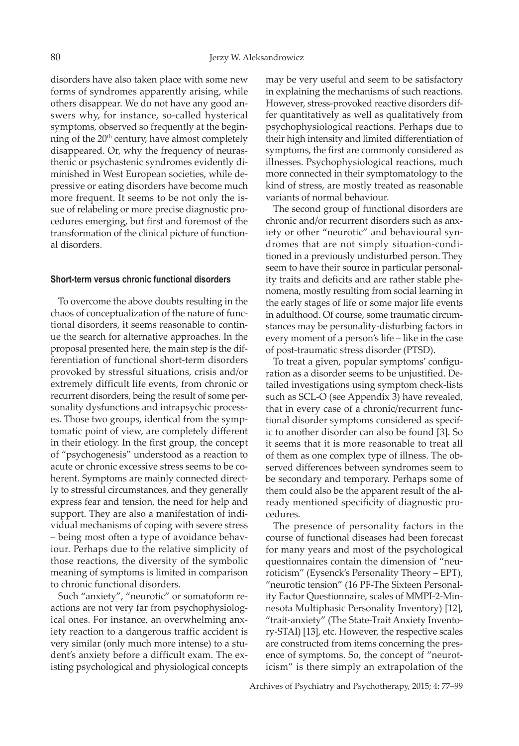disorders have also taken place with some new forms of syndromes apparently arising, while others disappear. We do not have any good answers why, for instance, so-called hysterical symptoms, observed so frequently at the beginning of the 20<sup>th</sup> century, have almost completely disappeared. Or, why the frequency of neurasthenic or psychastenic syndromes evidently diminished in West European societies, while depressive or eating disorders have become much more frequent. It seems to be not only the issue of relabeling or more precise diagnostic procedures emerging, but first and foremost of the transformation of the clinical picture of functional disorders.

#### **Short-term versus chronic functional disorders**

To overcome the above doubts resulting in the chaos of conceptualization of the nature of functional disorders, it seems reasonable to continue the search for alternative approaches. In the proposal presented here, the main step is the differentiation of functional short-term disorders provoked by stressful situations, crisis and/or extremely difficult life events, from chronic or recurrent disorders, being the result of some personality dysfunctions and intrapsychic processes. Those two groups, identical from the symptomatic point of view, are completely different in their etiology. In the first group, the concept of "psychogenesis" understood as a reaction to acute or chronic excessive stress seems to be coherent. Symptoms are mainly connected directly to stressful circumstances, and they generally express fear and tension, the need for help and support. They are also a manifestation of individual mechanisms of coping with severe stress – being most often a type of avoidance behaviour. Perhaps due to the relative simplicity of those reactions, the diversity of the symbolic meaning of symptoms is limited in comparison to chronic functional disorders.

Such "anxiety", "neurotic" or somatoform reactions are not very far from psychophysiological ones. For instance, an overwhelming anxiety reaction to a dangerous traffic accident is very similar (only much more intense) to a student's anxiety before a difficult exam. The existing psychological and physiological concepts may be very useful and seem to be satisfactory in explaining the mechanisms of such reactions. However, stress-provoked reactive disorders differ quantitatively as well as qualitatively from psychophysiological reactions. Perhaps due to their high intensity and limited differentiation of symptoms, the first are commonly considered as illnesses. Psychophysiological reactions, much more connected in their symptomatology to the kind of stress, are mostly treated as reasonable variants of normal behaviour.

The second group of functional disorders are chronic and/or recurrent disorders such as anxiety or other "neurotic" and behavioural syndromes that are not simply situation-conditioned in a previously undisturbed person. They seem to have their source in particular personality traits and deficits and are rather stable phenomena, mostly resulting from social learning in the early stages of life or some major life events in adulthood. Of course, some traumatic circumstances may be personality-disturbing factors in every moment of a person's life – like in the case of post-traumatic stress disorder (PTSD).

To treat a given, popular symptoms' configuration as a disorder seems to be unjustified. Detailed investigations using symptom check-lists such as SCL-O (see Appendix 3) have revealed, that in every case of a chronic/recurrent functional disorder symptoms considered as specific to another disorder can also be found [3]. So it seems that it is more reasonable to treat all of them as one complex type of illness. The observed differences between syndromes seem to be secondary and temporary. Perhaps some of them could also be the apparent result of the already mentioned specificity of diagnostic procedures.

The presence of personality factors in the course of functional diseases had been forecast for many years and most of the psychological questionnaires contain the dimension of "neuroticism" (Eysenck's Personality Theory – EPT), "neurotic tension" (16 PF-The Sixteen Personality Factor Questionnaire, scales of MMPI-2-Minnesota Multiphasic Personality Inventory) [12], "trait-anxiety" (The State-Trait Anxiety Inventory-STAI) [13], etc. However, the respective scales are constructed from items concerning the presence of symptoms. So, the concept of "neuroticism" is there simply an extrapolation of the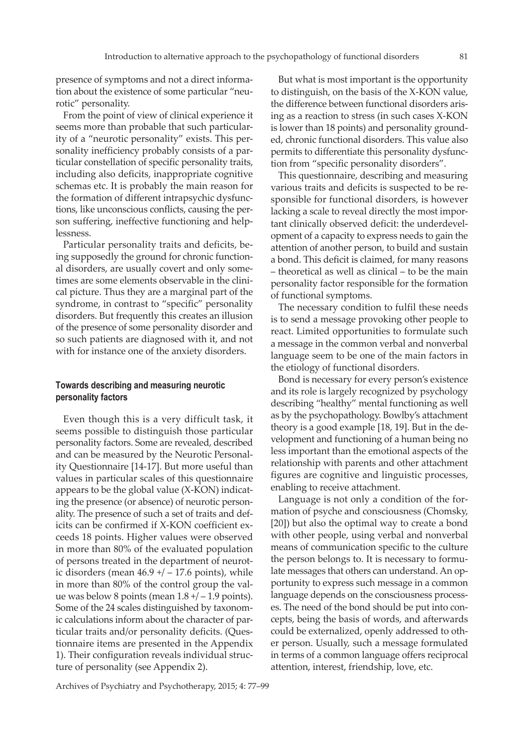presence of symptoms and not a direct information about the existence of some particular "neurotic" personality.

From the point of view of clinical experience it seems more than probable that such particularity of a "neurotic personality" exists. This personality inefficiency probably consists of a particular constellation of specific personality traits, including also deficits, inappropriate cognitive schemas etc. It is probably the main reason for the formation of different intrapsychic dysfunctions, like unconscious conflicts, causing the person suffering, ineffective functioning and helplessness.

Particular personality traits and deficits, being supposedly the ground for chronic functional disorders, are usually covert and only sometimes are some elements observable in the clinical picture. Thus they are a marginal part of the syndrome, in contrast to "specific" personality disorders. But frequently this creates an illusion of the presence of some personality disorder and so such patients are diagnosed with it, and not with for instance one of the anxiety disorders.

### **Towards describing and measuring neurotic personality factors**

Even though this is a very difficult task, it seems possible to distinguish those particular personality factors. Some are revealed, described and can be measured by the Neurotic Personality Questionnaire [14-17]. But more useful than values in particular scales of this questionnaire appears to be the global value (X-KON) indicating the presence (or absence) of neurotic personality. The presence of such a set of traits and deficits can be confirmed if X-KON coefficient exceeds 18 points. Higher values were observed in more than 80% of the evaluated population of persons treated in the department of neurotic disorders (mean  $46.9 + / -17.6$  points), while in more than 80% of the control group the value was below 8 points (mean  $1.8 + / -1.9$  points). Some of the 24 scales distinguished by taxonomic calculations inform about the character of particular traits and/or personality deficits. (Questionnaire items are presented in the Appendix 1). Their configuration reveals individual structure of personality (see Appendix 2).

But what is most important is the opportunity to distinguish, on the basis of the X-KON value, the difference between functional disorders arising as a reaction to stress (in such cases X-KON is lower than 18 points) and personality grounded, chronic functional disorders. This value also permits to differentiate this personality dysfunction from "specific personality disorders".

This questionnaire, describing and measuring various traits and deficits is suspected to be responsible for functional disorders, is however lacking a scale to reveal directly the most important clinically observed deficit: the underdevelopment of a capacity to express needs to gain the attention of another person, to build and sustain a bond. This deficit is claimed, for many reasons – theoretical as well as clinical – to be the main personality factor responsible for the formation of functional symptoms.

The necessary condition to fulfil these needs is to send a message provoking other people to react. Limited opportunities to formulate such a message in the common verbal and nonverbal language seem to be one of the main factors in the etiology of functional disorders.

Bond is necessary for every person's existence and its role is largely recognized by psychology describing "healthy" mental functioning as well as by the psychopathology. Bowlby's attachment theory is a good example [18, 19]. But in the development and functioning of a human being no less important than the emotional aspects of the relationship with parents and other attachment figures are cognitive and linguistic processes, enabling to receive attachment.

Language is not only a condition of the formation of psyche and consciousness (Chomsky, [20]) but also the optimal way to create a bond with other people, using verbal and nonverbal means of communication specific to the culture the person belongs to. It is necessary to formulate messages that others can understand. An opportunity to express such message in a common language depends on the consciousness processes. The need of the bond should be put into concepts, being the basis of words, and afterwards could be externalized, openly addressed to other person. Usually, such a message formulated in terms of a common language offers reciprocal attention, interest, friendship, love, etc.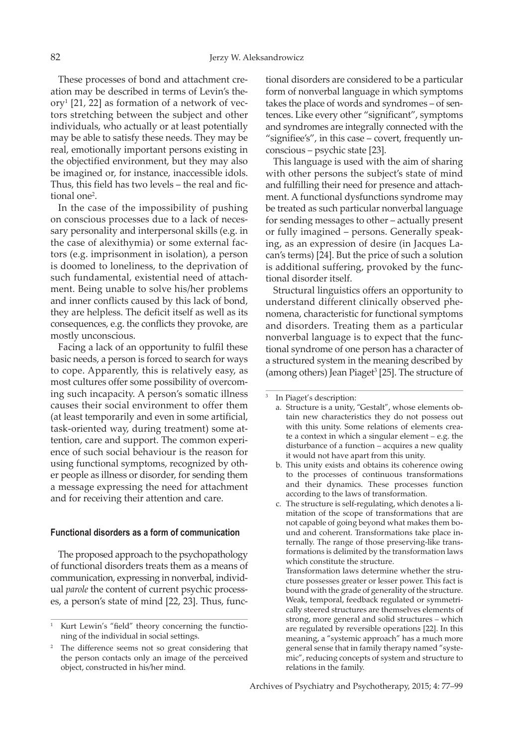These processes of bond and attachment creation may be described in terms of Levin's the- $\text{or}$ y<sup>1</sup> [21, 22] as formation of a network of vectors stretching between the subject and other individuals, who actually or at least potentially may be able to satisfy these needs. They may be real, emotionally important persons existing in the objectified environment, but they may also be imagined or, for instance, inaccessible idols. Thus, this field has two levels – the real and fictional one<sup>2</sup>.

In the case of the impossibility of pushing on conscious processes due to a lack of necessary personality and interpersonal skills (e.g. in the case of alexithymia) or some external factors (e.g. imprisonment in isolation), a person is doomed to loneliness, to the deprivation of such fundamental, existential need of attachment. Being unable to solve his/her problems and inner conflicts caused by this lack of bond, they are helpless. The deficit itself as well as its consequences, e.g. the conflicts they provoke, are mostly unconscious.

Facing a lack of an opportunity to fulfil these basic needs, a person is forced to search for ways to cope. Apparently, this is relatively easy, as most cultures offer some possibility of overcoming such incapacity. A person's somatic illness causes their social environment to offer them (at least temporarily and even in some artificial, task-oriented way, during treatment) some attention, care and support. The common experience of such social behaviour is the reason for using functional symptoms, recognized by other people as illness or disorder, for sending them a message expressing the need for attachment and for receiving their attention and care.

#### **Functional disorders as a form of communication**

The proposed approach to the psychopathology of functional disorders treats them as a means of communication, expressing in nonverbal, individual *parole* the content of current psychic processes, a person's state of mind [22, 23]. Thus, func-

tional disorders are considered to be a particular form of nonverbal language in which symptoms takes the place of words and syndromes – of sentences. Like every other "significant", symptoms and syndromes are integrally connected with the "signifiee's", in this case – covert, frequently unconscious – psychic state [23].

This language is used with the aim of sharing with other persons the subject's state of mind and fulfilling their need for presence and attachment. A functional dysfunctions syndrome may be treated as such particular nonverbal language for sending messages to other – actually present or fully imagined – persons. Generally speaking, as an expression of desire (in Jacques Lacan's terms) [24]. But the price of such a solution is additional suffering, provoked by the functional disorder itself.

Structural linguistics offers an opportunity to understand different clinically observed phenomena, characteristic for functional symptoms and disorders. Treating them as a particular nonverbal language is to expect that the functional syndrome of one person has a character of a structured system in the meaning described by (among others) Jean Piaget<sup>3</sup> [25]. The structure of

 In Piaget's description:

3

- b. This unity exists and obtains its coherence owing to the processes of continuous transformations and their dynamics. These processes function according to the laws of transformation.
- c. The structure is self-regulating, which denotes a limitation of the scope of transformations that are not capable of going beyond what makes them bound and coherent. Transformations take place internally. The range of those preserving-like transformations is delimited by the transformation laws which constitute the structure.

Transformation laws determine whether the structure possesses greater or lesser power. This fact is bound with the grade of generality of the structure. Weak, temporal, feedback regulated or symmetrically steered structures are themselves elements of strong, more general and solid structures – which are regulated by reversible operations [22]. In this meaning, a "systemic approach" has a much more general sense that in family therapy named "systemic", reducing concepts of system and structure to relations in the family.

<sup>1</sup> Kurt Lewin's "field" theory concerning the functioning of the individual in social settings.

<sup>2</sup> The difference seems not so great considering that the person contacts only an image of the perceived object, constructed in his/her mind.

a. Structure is a unity, "Gestalt", whose elements obtain new characteristics they do not possess out with this unity. Some relations of elements create a context in which a singular element – e.g. the disturbance of a function – acquires a new quality it would not have apart from this unity.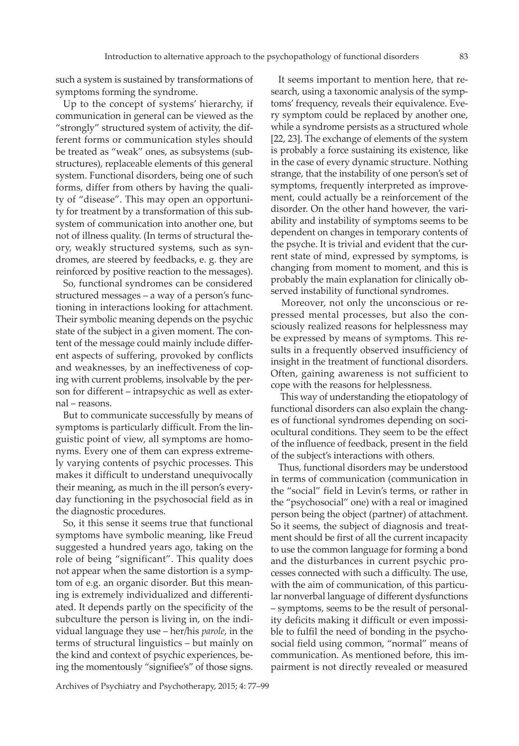such a system is sustained by transformations of symptoms forming the syndrome.

Up to the concept of systems' hierarchy, if communication in general can be viewed as the "strongly" structured system of activity, the different forms or communication styles should be treated as "weak" ones, as subsystems (substructures), replaceable elements of this general system. Functional disorders, being one of such forms, differ from others by having the quality of "disease". This may open an opportunity for treatment by a transformation of this subsystem of communication into another one, but not of illness quality. (In terms of structural theory, weakly structured systems, such as syndromes, are steered by feedbacks, e. g. they are reinforced by positive reaction to the messages).

So, functional syndromes can be considered structured messages – a way of a person's functioning in interactions looking for attachment. Their symbolic meaning depends on the psychic state of the subject in a given moment. The content of the message could mainly include different aspects of suffering, provoked by conflicts and weaknesses, by an ineffectiveness of coping with current problems, insolvable by the person for different – intrapsychic as well as external – reasons.

But to communicate successfully by means of symptoms is particularly difficult. From the linguistic point of view, all symptoms are homonyms. Every one of them can express extremely varying contents of psychic processes. This makes it difficult to understand unequivocally their meaning, as much in the ill person's everyday functioning in the psychosocial field as in the diagnostic procedures.

So, it this sense it seems true that functional symptoms have symbolic meaning, like Freud suggested a hundred years ago, taking on the role of being "significant". This quality does not appear when the same distortion is a symptom of e.g. an organic disorder. But this meaning is extremely individualized and differentiated. It depends partly on the specificity of the subculture the person is living in, on the individual language they use – her/his *parole*, in the terms of structural linguistics – but mainly on the kind and context of psychic experiences, being the momentously "signifiee's" of those signs.

It seems important to mention here, that research, using a taxonomic analysis of the symptoms' frequency, reveals their equivalence. Every symptom could be replaced by another one, while a syndrome persists as a structured whole [22, 23]. The exchange of elements of the system is probably a force sustaining its existence, like in the case of every dynamic structure. Nothing strange, that the instability of one person's set of symptoms, frequently interpreted as improvement, could actually be a reinforcement of the disorder. On the other hand however, the variability and instability of symptoms seems to be dependent on changes in temporary contents of the psyche. It is trivial and evident that the current state of mind, expressed by symptoms, is changing from moment to moment, and this is probably the main explanation for clinically observed instability of functional syndromes.

Moreover, not only the unconscious or repressed mental processes, but also the consciously realized reasons for helplessness may be expressed by means of symptoms. This results in a frequently observed insufficiency of insight in the treatment of functional disorders. Often, gaining awareness is not sufficient to cope with the reasons for helplessness.

 This way of understanding the etiopatology of functional disorders can also explain the changes of functional syndromes depending on sociocultural conditions. They seem to be the effect of the influence of feedback, present in the field of the subject's interactions with others.

Thus, functional disorders may be understood in terms of communication (communication in the "social" field in Levin's terms, or rather in the "psychosocial" one) with a real or imagined person being the object (partner) of attachment. So it seems, the subject of diagnosis and treatment should be first of all the current incapacity to use the common language for forming a bond and the disturbances in current psychic processes connected with such a difficulty. The use, with the aim of communication, of this particular nonverbal language of different dysfunctions – symptoms, seems to be the result of personality deficits making it difficult or even impossible to fulfil the need of bonding in the psychosocial field using common, "normal" means of communication. As mentioned before, this impairment is not directly revealed or measured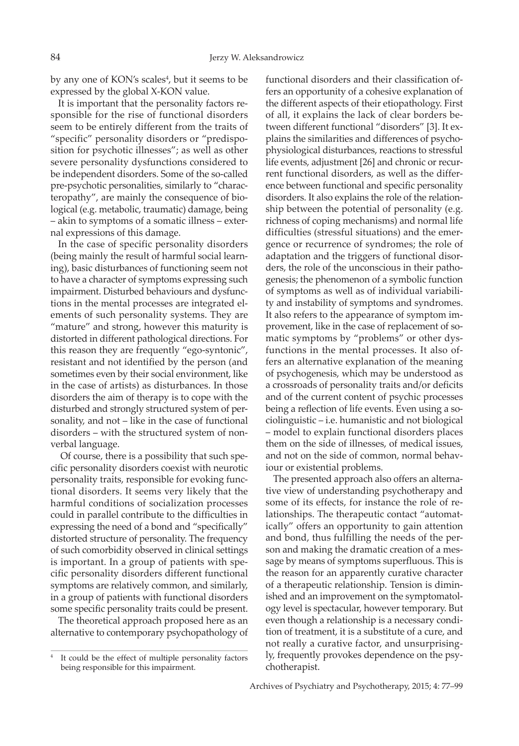by any one of KON's scales<sup>4</sup>, but it seems to be expressed by the global X-KON value.

It is important that the personality factors responsible for the rise of functional disorders seem to be entirely different from the traits of "specific" personality disorders or "predisposition for psychotic illnesses"; as well as other severe personality dysfunctions considered to be independent disorders. Some of the so-called pre-psychotic personalities, similarly to "characteropathy", are mainly the consequence of biological (e.g. metabolic, traumatic) damage, being – akin to symptoms of a somatic illness – external expressions of this damage.

In the case of specific personality disorders (being mainly the result of harmful social learning), basic disturbances of functioning seem not to have a character of symptoms expressing such impairment. Disturbed behaviours and dysfunctions in the mental processes are integrated elements of such personality systems. They are "mature" and strong, however this maturity is distorted in different pathological directions. For this reason they are frequently "ego-syntonic", resistant and not identified by the person (and sometimes even by their social environment, like in the case of artists) as disturbances. In those disorders the aim of therapy is to cope with the disturbed and strongly structured system of personality, and not – like in the case of functional disorders – with the structured system of nonverbal language.

Of course, there is a possibility that such specific personality disorders coexist with neurotic personality traits, responsible for evoking functional disorders. It seems very likely that the harmful conditions of socialization processes could in parallel contribute to the difficulties in expressing the need of a bond and "specifically" distorted structure of personality. The frequency of such comorbidity observed in clinical settings is important. In a group of patients with specific personality disorders different functional symptoms are relatively common, and similarly, in a group of patients with functional disorders some specific personality traits could be present.

The theoretical approach proposed here as an alternative to contemporary psychopathology of functional disorders and their classification offers an opportunity of a cohesive explanation of the different aspects of their etiopathology. First of all, it explains the lack of clear borders between different functional "disorders" [3]. It explains the similarities and differences of psychophysiological disturbances, reactions to stressful life events, adjustment [26] and chronic or recurrent functional disorders, as well as the difference between functional and specific personality disorders. It also explains the role of the relationship between the potential of personality (e.g. richness of coping mechanisms) and normal life difficulties (stressful situations) and the emergence or recurrence of syndromes; the role of adaptation and the triggers of functional disorders, the role of the unconscious in their pathogenesis; the phenomenon of a symbolic function of symptoms as well as of individual variability and instability of symptoms and syndromes. It also refers to the appearance of symptom improvement, like in the case of replacement of somatic symptoms by "problems" or other dysfunctions in the mental processes. It also offers an alternative explanation of the meaning of psychogenesis, which may be understood as a crossroads of personality traits and/or deficits and of the current content of psychic processes being a reflection of life events. Even using a sociolinguistic – i.e. humanistic and not biological – model to explain functional disorders places them on the side of illnesses, of medical issues, and not on the side of common, normal behaviour or existential problems.

The presented approach also offers an alternative view of understanding psychotherapy and some of its effects, for instance the role of relationships. The therapeutic contact "automatically" offers an opportunity to gain attention and bond, thus fulfilling the needs of the person and making the dramatic creation of a message by means of symptoms superfluous. This is the reason for an apparently curative character of a therapeutic relationship. Tension is diminished and an improvement on the symptomatology level is spectacular, however temporary. But even though a relationship is a necessary condition of treatment, it is a substitute of a cure, and not really a curative factor, and unsurprisingly, frequently provokes dependence on the psychotherapist.

<sup>4</sup> It could be the effect of multiple personality factors being responsible for this impairment.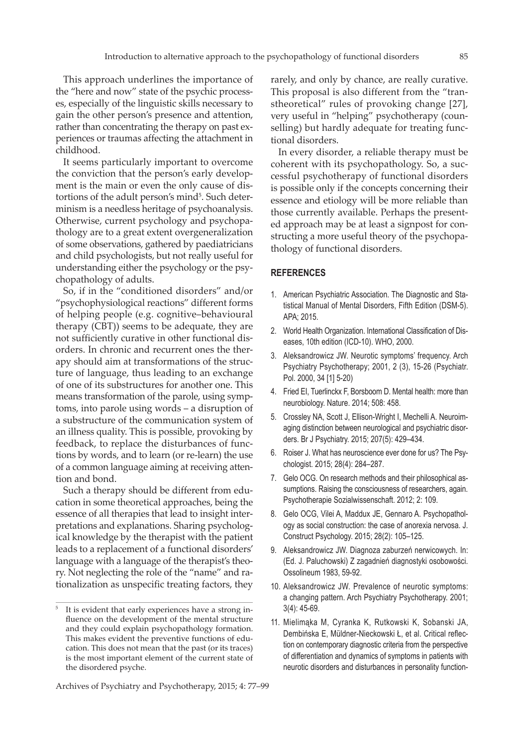This approach underlines the importance of the "here and now" state of the psychic processes, especially of the linguistic skills necessary to gain the other person's presence and attention, rather than concentrating the therapy on past experiences or traumas affecting the attachment in childhood.

It seems particularly important to overcome the conviction that the person's early development is the main or even the only cause of distortions of the adult person's mind<sup>5</sup>. Such determinism is a needless heritage of psychoanalysis. Otherwise, current psychology and psychopathology are to a great extent overgeneralization of some observations, gathered by paediatricians and child psychologists, but not really useful for understanding either the psychology or the psychopathology of adults.

So, if in the "conditioned disorders" and/or "psychophysiological reactions" different forms of helping people (e.g. cognitive–behavioural therapy (CBT)) seems to be adequate, they are not sufficiently curative in other functional disorders. In chronic and recurrent ones the therapy should aim at transformations of the structure of language, thus leading to an exchange of one of its substructures for another one. This means transformation of the parole, using symptoms, into parole using words – a disruption of a substructure of the communication system of an illness quality. This is possible, provoking by feedback, to replace the disturbances of functions by words, and to learn (or re-learn) the use of a common language aiming at receiving attention and bond.

Such a therapy should be different from education in some theoretical approaches, being the essence of all therapies that lead to insight interpretations and explanations. Sharing psychological knowledge by the therapist with the patient leads to a replacement of a functional disorders' language with a language of the therapist's theory. Not neglecting the role of the "name" and rationalization as unspecific treating factors, they

Archives of Psychiatry and Psychotherapy, 2015; 4: 77–99

rarely, and only by chance, are really curative. This proposal is also different from the "transtheoretical" rules of provoking change [27], very useful in "helping" psychotherapy (counselling) but hardly adequate for treating functional disorders.

In every disorder, a reliable therapy must be coherent with its psychopathology. So, a successful psychotherapy of functional disorders is possible only if the concepts concerning their essence and etiology will be more reliable than those currently available. Perhaps the presented approach may be at least a signpost for constructing a more useful theory of the psychopathology of functional disorders.

#### **REFERENCES**

- 1. American Psychiatric Association. The Diagnostic and Statistical Manual of Mental Disorders, Fifth Edition (DSM-5). APA; 2015.
- 2. World Health Organization. International Classification of Diseases, 10th edition (ICD-10). WHO, 2000.
- 3. Aleksandrowicz JW. Neurotic symptoms' frequency. Arch Psychiatry Psychotherapy; 2001, 2 (3), 15-26 (Psychiatr. Pol. 2000, 34 [1] 5-20)
- 4. Fried EI, Tuerlinckx F, Borsboom D. Mental health: more than neurobiology. Nature. 2014; 508: 458.
- 5. Crossley NA, Scott J, Ellison-Wright I, Mechelli A. Neuroimaging distinction between neurological and psychiatric disorders. Br J Psychiatry. 2015; 207(5): 429–434.
- 6. Roiser J. What has neuroscience ever done for us? The Psychologist. 2015; 28(4): 284–287.
- 7. Gelo OCG. On research methods and their philosophical assumptions. Raising the consciousness of researchers, again. Psychotherapie Sozialwissenschaft. 2012; 2: 109.
- 8. Gelo OCG, Vilei A, Maddux JE, Gennaro A. Psychopathology as social construction: the case of anorexia nervosa. J. Construct Psychology. 2015; 28(2): 105–125.
- 9. Aleksandrowicz JW. Diagnoza zaburzeń nerwicowych. In: (Ed. J. Paluchowski) Z zagadnień diagnostyki osobowości. Ossolineum 1983, 59-92.
- 10. Aleksandrowicz JW. Prevalence of neurotic symptoms: a changing pattern. Arch Psychiatry Psychotherapy. 2001; 3(4): 45-69.
- 11. Mielimąka M, Cyranka K, Rutkowski K, Sobanski JA, Dembińska E, Müldner-Nieckowski Ł, et al. Critical reflection on contemporary diagnostic criteria from the perspective of differentiation and dynamics of symptoms in patients with neurotic disorders and disturbances in personality function-

<sup>5</sup> It is evident that early experiences have a strong influence on the development of the mental structure and they could explain psychopathology formation. This makes evident the preventive functions of education. This does not mean that the past (or its traces) is the most important element of the current state of the disordered psyche.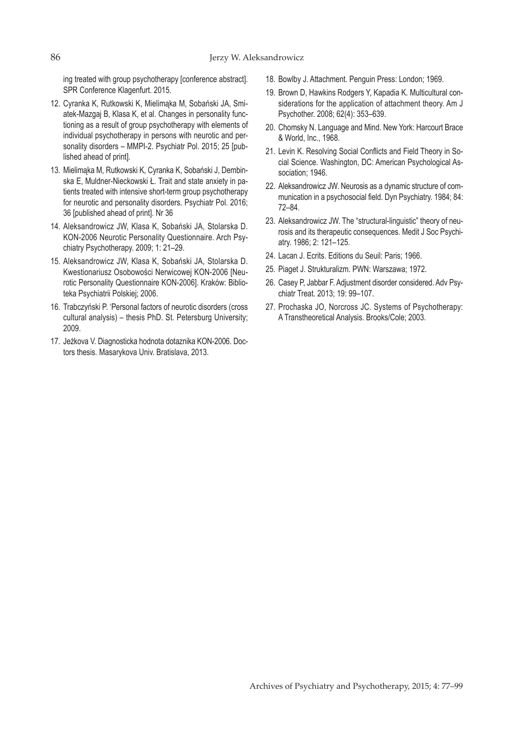ing treated with group psychotherapy [conference abstract]. SPR Conference Klagenfurt. 2015.

- 12. Cyranka K, Rutkowski K, Mielimąka M, Sobański JA, Smiatek-Mazgaj B, Klasa K, et al. Changes in personality functioning as a result of group psychotherapy with elements of individual psychotherapy in persons with neurotic and personality disorders – MMPI-2. Psychiatr Pol. 2015; 25 [published ahead of print].
- 13. Mielimąka M, Rutkowski K, Cyranka K, Sobański J, Dembinska E, Muldner-Nieckowski Ł. Trait and state anxiety in patients treated with intensive short-term group psychotherapy for neurotic and personality disorders. Psychiatr Pol. 2016; 36 [published ahead of print]. Nr 36
- 14. Aleksandrowicz JW, Klasa K, Sobański JA, Stolarska D. KON-2006 Neurotic Personality Questionnaire. Arch Psychiatry Psychotherapy. 2009; 1: 21–29.
- 15. Aleksandrowicz JW, Klasa K, Sobański JA, Stolarska D. Kwestionariusz Osobowości Nerwicowej KON-2006 [Neurotic Personality Questionnaire KON-2006]. Kraków: Biblioteka Psychiatrii Polskiej; 2006.
- 16. Trabczyński P. 'Personal factors of neurotic disorders (cross cultural analysis) – thesis PhD. St. Petersburg University; 2009.
- 17. Jeżkova V. Diagnosticka hodnota dotaznika KON-2006. Doctors thesis. Masarykova Univ. Bratislava, 2013.
- 18. Bowlby J. Attachment. Penguin Press: London; 1969.
- 19. Brown D, Hawkins Rodgers Y, Kapadia K. Multicultural considerations for the application of attachment theory. Am J Psychother. 2008; 62(4): 353–639.
- 20. Chomsky N. Language and Mind. New York: Harcourt Brace & World, Inc., 1968.
- 21. Levin K. Resolving Social Conflicts and Field Theory in Social Science. Washington, DC: American Psychological Association: 1946.
- 22. Aleksandrowicz JW. Neurosis as a dynamic structure of communication in a psychosocial field. Dyn Psychiatry. 1984; 84: 72–84.
- 23. Aleksandrowicz JW. The "structural-linguistic" theory of neurosis and its therapeutic consequences. Medit J Soc Psychiatry. 1986; 2: 121–125.
- 24. Lacan J. Ecrits. Editions du Seuil: Paris; 1966.
- 25. Piaget J. Strukturalizm. PWN: Warszawa; 1972.
- 26. Casey P, Jabbar F. Adjustment disorder considered. Adv Psychiatr Treat. 2013; 19: 99–107.
- 27. Prochaska JO, Norcross JC. Systems of Psychotherapy: A Transtheoretical Analysis. Brooks/Cole; 2003.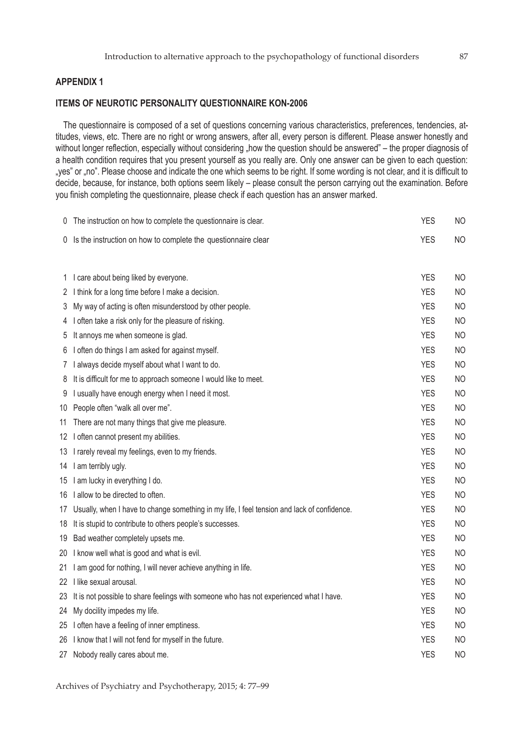## **APPENDIX 1**

## **ITEMS OF NEUROTIC PERSONALITY QUESTIONNAIRE KON-2006**

The questionnaire is composed of a set of questions concerning various characteristics, preferences, tendencies, attitudes, views, etc. There are no right or wrong answers, after all, every person is different. Please answer honestly and without longer reflection, especially without considering "how the question should be answered" – the proper diagnosis of a health condition requires that you present yourself as you really are. Only one answer can be given to each question: "yes" or "no". Please choose and indicate the one which seems to be right. If some wording is not clear, and it is difficult to decide, because, for instance, both options seem likely – please consult the person carrying out the examination. Before you finish completing the questionnaire, please check if each question has an answer marked.

| $\cup$ | The instruction on how to complete the questionnaire is clear.                                 | <b>YES</b> | <b>NO</b>      |
|--------|------------------------------------------------------------------------------------------------|------------|----------------|
|        | 0 Is the instruction on how to complete the questionnaire clear                                | <b>YES</b> | NO.            |
|        |                                                                                                |            |                |
|        | 1 I care about being liked by everyone.                                                        | <b>YES</b> | <b>NO</b>      |
|        | 2 I think for a long time before I make a decision.                                            | <b>YES</b> | <b>NO</b>      |
| 3      | My way of acting is often misunderstood by other people.                                       | <b>YES</b> | NO.            |
|        | 4 I often take a risk only for the pleasure of risking.                                        | <b>YES</b> | NO.            |
| 5      | It annoys me when someone is glad.                                                             | <b>YES</b> | <b>NO</b>      |
|        | 6 I often do things I am asked for against myself.                                             | <b>YES</b> | <b>NO</b>      |
| 7      | I always decide myself about what I want to do.                                                | <b>YES</b> | ΝO             |
| 8      | It is difficult for me to approach someone I would like to meet.                               | <b>YES</b> | ΝO             |
| 9      | I usually have enough energy when I need it most.                                              | <b>YES</b> | <b>NO</b>      |
|        | 10 People often "walk all over me".                                                            | <b>YES</b> | <b>NO</b>      |
| 11     | There are not many things that give me pleasure.                                               | <b>YES</b> | <b>NO</b>      |
|        | 12 I often cannot present my abilities.                                                        | <b>YES</b> | <b>NO</b>      |
|        | 13 I rarely reveal my feelings, even to my friends.                                            | <b>YES</b> | <b>NO</b>      |
|        | 14 I am terribly ugly.                                                                         | <b>YES</b> | <b>NO</b>      |
|        | 15 I am lucky in everything I do.                                                              | <b>YES</b> | <b>NO</b>      |
|        | 16 I allow to be directed to often.                                                            | <b>YES</b> | ΝO             |
|        | 17 Usually, when I have to change something in my life, I feel tension and lack of confidence. | <b>YES</b> | <b>NO</b>      |
| 18     | It is stupid to contribute to others people's successes.                                       | <b>YES</b> | <b>NO</b>      |
|        | 19 Bad weather completely upsets me.                                                           | <b>YES</b> | <b>NO</b>      |
|        | 20 I know well what is good and what is evil.                                                  | <b>YES</b> | <b>NO</b>      |
|        | 21 I am good for nothing, I will never achieve anything in life.                               | <b>YES</b> | <b>NO</b>      |
|        | 22 I like sexual arousal.                                                                      | <b>YES</b> | <b>NO</b>      |
| 23     | It is not possible to share feelings with someone who has not experienced what I have.         | <b>YES</b> | ΝO             |
| 24     | My docility impedes my life.                                                                   | <b>YES</b> | <b>NO</b>      |
|        | 25 I often have a feeling of inner emptiness.                                                  | <b>YES</b> | <b>NO</b>      |
|        | 26 I know that I will not fend for myself in the future.                                       | <b>YES</b> | NO.            |
| 27 -   | Nobody really cares about me.                                                                  | <b>YES</b> | N <sub>O</sub> |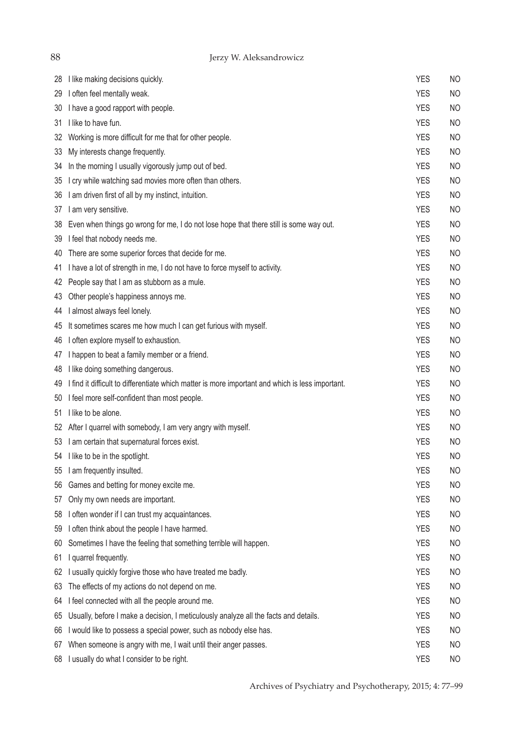Jerzy W. Aleksandrowicz

| 28 | I like making decisions quickly.                                                                 | <b>YES</b> | <b>NO</b>      |
|----|--------------------------------------------------------------------------------------------------|------------|----------------|
| 29 | I often feel mentally weak.                                                                      | <b>YES</b> | <b>NO</b>      |
| 30 | I have a good rapport with people.                                                               | <b>YES</b> | <b>NO</b>      |
| 31 | I like to have fun.                                                                              | <b>YES</b> | <b>NO</b>      |
| 32 | Working is more difficult for me that for other people.                                          | <b>YES</b> | <b>NO</b>      |
| 33 | My interests change frequently.                                                                  | <b>YES</b> | <b>NO</b>      |
| 34 | In the morning I usually vigorously jump out of bed.                                             | <b>YES</b> | <b>NO</b>      |
| 35 | I cry while watching sad movies more often than others.                                          | <b>YES</b> | <b>NO</b>      |
| 36 | I am driven first of all by my instinct, intuition.                                              | <b>YES</b> | <b>NO</b>      |
| 37 | I am very sensitive.                                                                             | <b>YES</b> | <b>NO</b>      |
| 38 | Even when things go wrong for me, I do not lose hope that there still is some way out.           | <b>YES</b> | <b>NO</b>      |
| 39 | I feel that nobody needs me.                                                                     | <b>YES</b> | <b>NO</b>      |
| 40 | There are some superior forces that decide for me.                                               | <b>YES</b> | <b>NO</b>      |
| 41 | I have a lot of strength in me, I do not have to force myself to activity.                       | <b>YES</b> | <b>NO</b>      |
| 42 | People say that I am as stubborn as a mule.                                                      | <b>YES</b> | <b>NO</b>      |
| 43 | Other people's happiness annoys me.                                                              | <b>YES</b> | <b>NO</b>      |
| 44 | I almost always feel lonely.                                                                     | <b>YES</b> | <b>NO</b>      |
| 45 | It sometimes scares me how much I can get furious with myself.                                   | <b>YES</b> | <b>NO</b>      |
| 46 | I often explore myself to exhaustion.                                                            | <b>YES</b> | <b>NO</b>      |
| 47 | I happen to beat a family member or a friend.                                                    | <b>YES</b> | <b>NO</b>      |
| 48 | I like doing something dangerous.                                                                | <b>YES</b> | <b>NO</b>      |
| 49 | I find it difficult to differentiate which matter is more important and which is less important. | <b>YES</b> | <b>NO</b>      |
| 50 | I feel more self-confident than most people.                                                     | <b>YES</b> | <b>NO</b>      |
| 51 | I like to be alone.                                                                              | <b>YES</b> | <b>NO</b>      |
|    | 52 After I quarrel with somebody, I am very angry with myself.                                   | <b>YES</b> | <b>NO</b>      |
| 53 | I am certain that supernatural forces exist.                                                     | <b>YES</b> | <b>NO</b>      |
|    | 54 I like to be in the spotlight.                                                                | <b>YES</b> | <b>NO</b>      |
|    | 55 I am frequently insulted.                                                                     | <b>YES</b> | N <sub>O</sub> |
| 56 | Games and betting for money excite me.                                                           | <b>YES</b> | <b>NO</b>      |
| 57 | Only my own needs are important.                                                                 | <b>YES</b> | NO             |
| 58 | I often wonder if I can trust my acquaintances.                                                  | <b>YES</b> | NO             |
| 59 | I often think about the people I have harmed.                                                    | <b>YES</b> | <b>NO</b>      |
| 60 | Sometimes I have the feeling that something terrible will happen.                                | <b>YES</b> | <b>NO</b>      |
| 61 | I quarrel frequently.                                                                            | <b>YES</b> | NO             |
| 62 | I usually quickly forgive those who have treated me badly.                                       | <b>YES</b> | <b>NO</b>      |
| 63 | The effects of my actions do not depend on me.                                                   | <b>YES</b> | <b>NO</b>      |
| 64 | I feel connected with all the people around me.                                                  | <b>YES</b> | NO             |
| 65 | Usually, before I make a decision, I meticulously analyze all the facts and details.             | <b>YES</b> | <b>NO</b>      |
| 66 | I would like to possess a special power, such as nobody else has.                                | <b>YES</b> | <b>NO</b>      |
| 67 | When someone is angry with me, I wait until their anger passes.                                  | <b>YES</b> | <b>NO</b>      |
| 68 | I usually do what I consider to be right.                                                        | <b>YES</b> | NO             |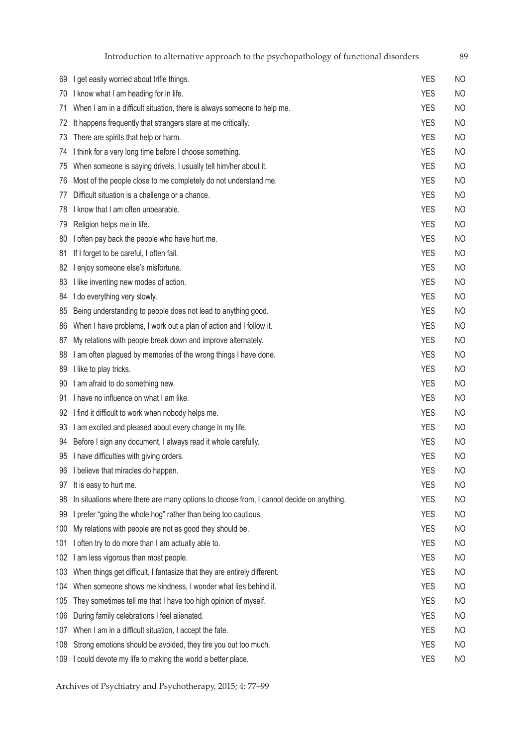| 69  | I get easily worried about trifle things.                                               | YES        | NO             |
|-----|-----------------------------------------------------------------------------------------|------------|----------------|
| 70  | I know what I am heading for in life.                                                   | <b>YES</b> | N <sub>O</sub> |
| 71  | When I am in a difficult situation, there is always someone to help me.                 | <b>YES</b> | N <sub>O</sub> |
| 72  | It happens frequently that strangers stare at me critically.                            | <b>YES</b> | N <sub>O</sub> |
| 73  | There are spirits that help or harm.                                                    | <b>YES</b> | <b>NO</b>      |
| 74  | I think for a very long time before I choose something.                                 | <b>YES</b> | N <sub>O</sub> |
| 75  | When someone is saying drivels, I usually tell him/her about it.                        | <b>YES</b> | N <sub>O</sub> |
| 76  | Most of the people close to me completely do not understand me.                         | <b>YES</b> | N <sub>O</sub> |
| 77  | Difficult situation is a challenge or a chance.                                         | <b>YES</b> | N <sub>O</sub> |
| 78  | I know that I am often unbearable.                                                      | <b>YES</b> | N <sub>O</sub> |
| 79  | Religion helps me in life.                                                              | <b>YES</b> | <b>NO</b>      |
| 80  | I often pay back the people who have hurt me.                                           | <b>YES</b> | <b>NO</b>      |
| 81  | If I forget to be careful, I often fail.                                                | <b>YES</b> | <b>NO</b>      |
| 82  | I enjoy someone else's misfortune.                                                      | <b>YES</b> | N <sub>O</sub> |
| 83  | I like inventing new modes of action.                                                   | <b>YES</b> | N <sub>O</sub> |
| 84  | I do everything very slowly.                                                            | <b>YES</b> | <b>NO</b>      |
| 85  | Being understanding to people does not lead to anything good.                           | <b>YES</b> | N <sub>O</sub> |
| 86  | When I have problems, I work out a plan of action and I follow it.                      | <b>YES</b> | N <sub>O</sub> |
| 87  | My relations with people break down and improve alternately.                            | <b>YES</b> | <b>NO</b>      |
| 88  | I am often plagued by memories of the wrong things I have done.                         | <b>YES</b> | N <sub>O</sub> |
| 89  | I like to play tricks.                                                                  | <b>YES</b> | N <sub>O</sub> |
| 90  | I am afraid to do something new.                                                        | <b>YES</b> | <b>NO</b>      |
| 91  | I have no influence on what I am like.                                                  | <b>YES</b> | <b>NO</b>      |
| 92  | I find it difficult to work when nobody helps me.                                       | <b>YES</b> | N <sub>O</sub> |
| 93  | I am excited and pleased about every change in my life.                                 | <b>YES</b> | <b>NO</b>      |
| 94  | Before I sign any document, I always read it whole carefully.                           | <b>YES</b> | <b>NO</b>      |
| 95  | I have difficulties with giving orders.                                                 | <b>YES</b> | <b>NO</b>      |
| 96  | I believe that miracles do happen.                                                      | <b>YES</b> | NO             |
| 97  | It is easy to hurt me.                                                                  | <b>YES</b> | NO             |
| 98  | In situations where there are many options to choose from, I cannot decide on anything. | <b>YES</b> | N <sub>O</sub> |
| 99  | I prefer "going the whole hog" rather than being too cautious.                          | <b>YES</b> | N <sub>O</sub> |
| 100 | My relations with people are not as good they should be.                                | <b>YES</b> | <b>NO</b>      |
| 101 | I often try to do more than I am actually able to.                                      | <b>YES</b> | N <sub>O</sub> |
| 102 | I am less vigorous than most people.                                                    | <b>YES</b> | N <sub>O</sub> |
| 103 | When things get difficult, I fantasize that they are entirely different.                | <b>YES</b> | N <sub>O</sub> |
|     | 104 When someone shows me kindness, I wonder what lies behind it.                       | <b>YES</b> | N <sub>O</sub> |
| 105 | They sometimes tell me that I have too high opinion of myself.                          | <b>YES</b> | N <sub>O</sub> |
| 106 | During family celebrations I feel alienated.                                            | <b>YES</b> | N <sub>O</sub> |
|     | 107 When I am in a difficult situation, I accept the fate.                              | <b>YES</b> | N <sub>O</sub> |

- 
- 108 Strong emotions should be avoided, they tire you out too much. The match of the Strong emotions of NO 109 I could devote my life to making the world a better place.<br>
YES NO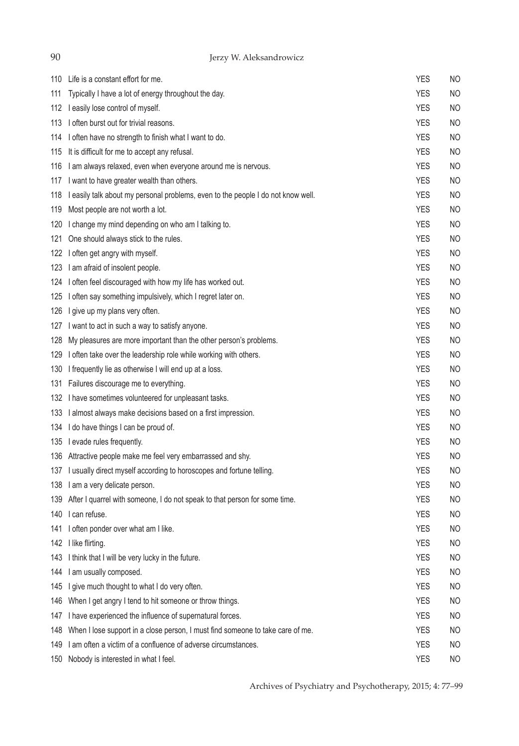Jerzy W. Aleksandrowicz

|     | 110 Life is a constant effort for me.                                            | <b>YES</b> | <b>NO</b> |
|-----|----------------------------------------------------------------------------------|------------|-----------|
| 111 | Typically I have a lot of energy throughout the day.                             | <b>YES</b> | <b>NO</b> |
| 112 | I easily lose control of myself.                                                 | <b>YES</b> | NO        |
| 113 | I often burst out for trivial reasons.                                           | <b>YES</b> | NO        |
| 114 | I often have no strength to finish what I want to do.                            | <b>YES</b> | <b>NO</b> |
| 115 | It is difficult for me to accept any refusal.                                    | <b>YES</b> | NO        |
| 116 | I am always relaxed, even when everyone around me is nervous.                    | <b>YES</b> | <b>NO</b> |
| 117 | I want to have greater wealth than others.                                       | <b>YES</b> | <b>NO</b> |
| 118 | I easily talk about my personal problems, even to the people I do not know well. | <b>YES</b> | <b>NO</b> |
| 119 | Most people are not worth a lot.                                                 | <b>YES</b> | <b>NO</b> |
| 120 | I change my mind depending on who am I talking to.                               | <b>YES</b> | NO        |
| 121 | One should always stick to the rules.                                            | <b>YES</b> | NO        |
| 122 | I often get angry with myself.                                                   | <b>YES</b> | NO        |
|     | 123 I am afraid of insolent people.                                              | <b>YES</b> | <b>NO</b> |
|     | 124 I often feel discouraged with how my life has worked out.                    | <b>YES</b> | NO        |
|     | 125 I often say something impulsively, which I regret later on.                  | <b>YES</b> | NO        |
| 126 | I give up my plans very often.                                                   | <b>YES</b> | <b>NO</b> |
| 127 | I want to act in such a way to satisfy anyone.                                   | <b>YES</b> | NO        |
| 128 | My pleasures are more important than the other person's problems.                | <b>YES</b> | <b>NO</b> |
| 129 | I often take over the leadership role while working with others.                 | <b>YES</b> | <b>NO</b> |
| 130 | I frequently lie as otherwise I will end up at a loss.                           | <b>YES</b> | NO        |
| 131 | Failures discourage me to everything.                                            | <b>YES</b> | <b>NO</b> |
|     | 132 I have sometimes volunteered for unpleasant tasks.                           | <b>YES</b> | NO        |
|     | 133 I almost always make decisions based on a first impression.                  | <b>YES</b> | NO        |
|     | 134 I do have things I can be proud of.                                          | <b>YES</b> | NO        |
|     | 135 levade rules frequently.                                                     | <b>YES</b> | <b>NO</b> |
|     | 136 Attractive people make me feel very embarrassed and shy.                     | <b>YES</b> | <b>NO</b> |
|     | 137 I usually direct myself according to horoscopes and fortune telling.         | <b>YES</b> | <b>NO</b> |
|     | 138 I am a very delicate person.                                                 | <b>YES</b> | <b>NO</b> |
| 139 | After I quarrel with someone, I do not speak to that person for some time.       | <b>YES</b> | NO        |
| 140 | I can refuse.                                                                    | <b>YES</b> | <b>NO</b> |
| 141 | I often ponder over what am I like.                                              | <b>YES</b> | <b>NO</b> |
| 142 | I like flirting.                                                                 | <b>YES</b> | <b>NO</b> |
|     | 143 I think that I will be very lucky in the future.                             | <b>YES</b> | <b>NO</b> |
|     | 144 I am usually composed.                                                       | <b>YES</b> | NO        |
|     | 145 I give much thought to what I do very often.                                 | <b>YES</b> | NO        |
|     | 146 When I get angry I tend to hit someone or throw things.                      | <b>YES</b> | <b>NO</b> |
| 147 | I have experienced the influence of supernatural forces.                         | <b>YES</b> | NO        |
| 148 | When I lose support in a close person, I must find someone to take care of me.   | <b>YES</b> | NO        |
|     | 149 I am often a victim of a confluence of adverse circumstances.                | <b>YES</b> | NO        |
|     | 150 Nobody is interested in what I feel.                                         | <b>YES</b> | <b>NO</b> |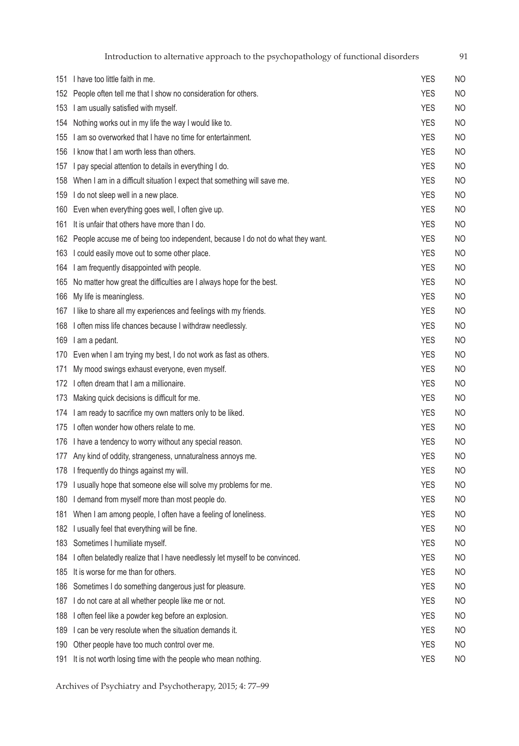|     | Introduction to alternative approach to the psychopathology of functional disorders |            | 91             |
|-----|-------------------------------------------------------------------------------------|------------|----------------|
|     | 151 I have too little faith in me.                                                  | <b>YES</b> | <b>NO</b>      |
| 152 | People often tell me that I show no consideration for others.                       | <b>YES</b> | <b>NO</b>      |
|     | 153 I am usually satisfied with myself.                                             | <b>YES</b> | <b>NO</b>      |
| 154 | Nothing works out in my life the way I would like to.                               | <b>YES</b> | NO             |
|     | 155 I am so overworked that I have no time for entertainment.                       | <b>YES</b> | <b>NO</b>      |
|     | 156 I know that I am worth less than others.                                        | <b>YES</b> | <b>NO</b>      |
| 157 | I pay special attention to details in everything I do.                              | <b>YES</b> | <b>NO</b>      |
|     | 158 When I am in a difficult situation I expect that something will save me.        | <b>YES</b> | <b>NO</b>      |
|     | 159 I do not sleep well in a new place.                                             | <b>YES</b> | NO             |
|     | 160 Even when everything goes well, I often give up.                                | <b>YES</b> | <b>NO</b>      |
| 161 | It is unfair that others have more than I do.                                       | <b>YES</b> | <b>NO</b>      |
|     | 162 People accuse me of being too independent, because I do not do what they want.  | <b>YES</b> | <b>NO</b>      |
|     | 163 I could easily move out to some other place.                                    | <b>YES</b> | <b>NO</b>      |
|     | 164 I am frequently disappointed with people.                                       | <b>YES</b> | <b>NO</b>      |
|     | 165 No matter how great the difficulties are I always hope for the best.            | <b>YES</b> | NO             |
|     | 166 My life is meaningless.                                                         | <b>YES</b> | <b>NO</b>      |
|     | 167 I like to share all my experiences and feelings with my friends.                | <b>YES</b> | <b>NO</b>      |
|     | 168 I often miss life chances because I withdraw needlessly.                        | <b>YES</b> | <b>NO</b>      |
|     | 169 I am a pedant.                                                                  | <b>YES</b> | <b>NO</b>      |
|     | 170 Even when I am trying my best, I do not work as fast as others.                 | <b>YES</b> | <b>NO</b>      |
| 171 | My mood swings exhaust everyone, even myself.                                       | <b>YES</b> | <b>NO</b>      |
|     | 172 I often dream that I am a millionaire.                                          | <b>YES</b> | <b>NO</b>      |
| 173 | Making quick decisions is difficult for me.                                         | <b>YES</b> | NO             |
| 174 | I am ready to sacrifice my own matters only to be liked.                            | <b>YES</b> | <b>NO</b>      |
|     | 175 l often wonder how others relate to me.                                         | <b>YES</b> | <b>NO</b>      |
|     | 176 I have a tendency to worry without any special reason.                          | <b>YES</b> | <b>NO</b>      |
|     | 177 Any kind of oddity, strangeness, unnaturalness annoys me.                       | <b>YES</b> | NO             |
|     | 178 I frequently do things against my will.                                         | <b>YES</b> | <b>NO</b>      |
| 179 | I usually hope that someone else will solve my problems for me.                     | <b>YES</b> | <b>NO</b>      |
| 180 | I demand from myself more than most people do.                                      | <b>YES</b> | <b>NO</b>      |
| 181 | When I am among people, I often have a feeling of loneliness.                       | <b>YES</b> | N <sub>O</sub> |
| 182 | I usually feel that everything will be fine.                                        | <b>YES</b> | <b>NO</b>      |
| 183 | Sometimes I humiliate myself.                                                       | <b>YES</b> | NO             |
| 184 | I often belatedly realize that I have needlessly let myself to be convinced.        | <b>YES</b> | <b>NO</b>      |
| 185 | It is worse for me than for others.                                                 | <b>YES</b> | <b>NO</b>      |
| 186 | Sometimes I do something dangerous just for pleasure.                               | <b>YES</b> | NO             |
|     | 187 I do not care at all whether people like me or not.                             | <b>YES</b> | N <sub>O</sub> |
| 188 | I often feel like a powder keg before an explosion.                                 | <b>YES</b> | N <sub>O</sub> |
| 189 | I can be very resolute when the situation demands it.                               | <b>YES</b> | NO             |
| 190 | Other people have too much control over me.                                         | <b>YES</b> | NO             |
|     | 191 It is not worth losing time with the people who mean nothing.                   | <b>YES</b> | <b>NO</b>      |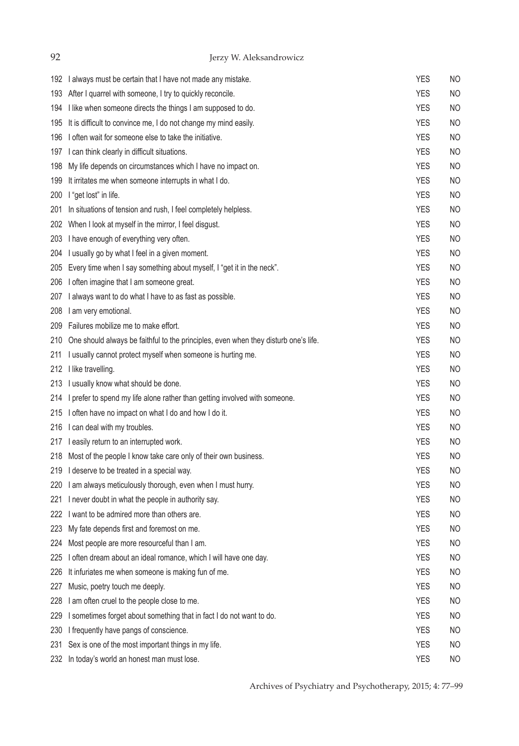| 92  | Jerzy W. Aleksandrowicz                                                             |            |                |
|-----|-------------------------------------------------------------------------------------|------------|----------------|
|     | 192 I always must be certain that I have not made any mistake.                      | <b>YES</b> | NO             |
| 193 | After I quarrel with someone, I try to quickly reconcile.                           | <b>YES</b> | NO             |
| 194 | I like when someone directs the things I am supposed to do.                         | <b>YES</b> | <b>NO</b>      |
| 195 | It is difficult to convince me, I do not change my mind easily.                     | <b>YES</b> | <b>NO</b>      |
| 196 | I often wait for someone else to take the initiative.                               | <b>YES</b> | <b>NO</b>      |
|     | 197 I can think clearly in difficult situations.                                    | <b>YES</b> | <b>NO</b>      |
| 198 | My life depends on circumstances which I have no impact on.                         | <b>YES</b> | NO             |
| 199 | It irritates me when someone interrupts in what I do.                               | <b>YES</b> | <b>NO</b>      |
| 200 | I "get lost" in life.                                                               | <b>YES</b> | <b>NO</b>      |
| 201 | In situations of tension and rush, I feel completely helpless.                      | <b>YES</b> | NO             |
|     | 202 When I look at myself in the mirror, I feel disgust.                            | <b>YES</b> | <b>NO</b>      |
|     | 203 I have enough of everything very often.                                         | <b>YES</b> | <b>NO</b>      |
| 204 | I usually go by what I feel in a given moment.                                      | <b>YES</b> | <b>NO</b>      |
| 205 | Every time when I say something about myself, I "get it in the neck".               | <b>YES</b> | <b>NO</b>      |
| 206 | I often imagine that I am someone great.                                            | <b>YES</b> | <b>NO</b>      |
| 207 | I always want to do what I have to as fast as possible.                             | <b>YES</b> | <b>NO</b>      |
| 208 | I am very emotional.                                                                | <b>YES</b> | <b>NO</b>      |
|     | 209 Failures mobilize me to make effort.                                            | <b>YES</b> | <b>NO</b>      |
| 210 | One should always be faithful to the principles, even when they disturb one's life. | <b>YES</b> | <b>NO</b>      |
| 211 | I usually cannot protect myself when someone is hurting me.                         | <b>YES</b> | <b>NO</b>      |
|     | 212 I like travelling.                                                              | <b>YES</b> | NO             |
| 213 | I usually know what should be done.                                                 | <b>YES</b> | <b>NO</b>      |
|     | 214 I prefer to spend my life alone rather than getting involved with someone.      | <b>YES</b> | <b>NO</b>      |
|     | 215 I often have no impact on what I do and how I do it.                            | <b>YES</b> | NO             |
|     | 216 I can deal with my troubles.                                                    | <b>YES</b> | NO             |
|     | 217 leasily return to an interrupted work.                                          | <b>YES</b> | <b>NO</b>      |
|     | 218 Most of the people I know take care only of their own business.                 | <b>YES</b> | N <sub>O</sub> |
| 219 | I deserve to be treated in a special way.                                           | <b>YES</b> | NO             |
| 220 | I am always meticulously thorough, even when I must hurry.                          | <b>YES</b> | <b>NO</b>      |
| 221 | I never doubt in what the people in authority say.                                  | <b>YES</b> | <b>NO</b>      |
| 222 | I want to be admired more than others are.                                          | <b>YES</b> | <b>NO</b>      |
| 223 | My fate depends first and foremost on me.                                           | <b>YES</b> | NO             |
| 224 | Most people are more resourceful than I am.                                         | <b>YES</b> | <b>NO</b>      |
| 225 | I often dream about an ideal romance, which I will have one day.                    | <b>YES</b> | NO             |
| 226 | It infuriates me when someone is making fun of me.                                  | <b>YES</b> | <b>NO</b>      |
| 227 | Music, poetry touch me deeply.                                                      | <b>YES</b> | <b>NO</b>      |
| 228 | I am often cruel to the people close to me.                                         | <b>YES</b> | NO             |
| 229 | I sometimes forget about something that in fact I do not want to do.                | <b>YES</b> | <b>NO</b>      |
| 230 | I frequently have pangs of conscience.                                              | <b>YES</b> | NO             |
| 231 | Sex is one of the most important things in my life.                                 | <b>YES</b> | NO             |
| 232 | In today's world an honest man must lose.                                           | <b>YES</b> | NO             |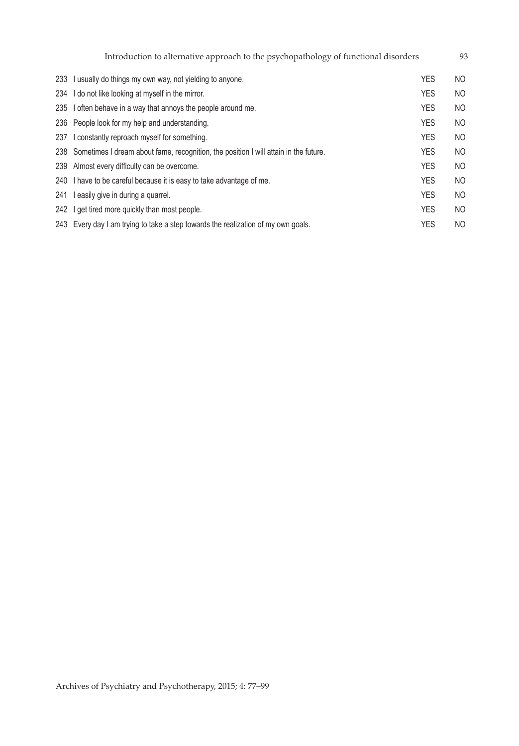|     | Introduction to alternative approach to the psychopathology of functional disorders      |            | 93  |
|-----|------------------------------------------------------------------------------------------|------------|-----|
|     | 233 I usually do things my own way, not yielding to anyone.                              | <b>YES</b> | NO  |
|     | 234 I do not like looking at myself in the mirror.                                       | <b>YES</b> | NO. |
|     | 235 I often behave in a way that annoys the people around me.                            | <b>YES</b> | NO  |
|     | 236 People look for my help and understanding.                                           | <b>YES</b> | NO  |
| 237 | I constantly reproach myself for something.                                              | <b>YES</b> | NO. |
|     | 238 Sometimes I dream about fame, recognition, the position I will attain in the future. | <b>YES</b> | NO  |
|     | 239 Almost every difficulty can be overcome.                                             | <b>YES</b> | NO  |
|     | 240 I have to be careful because it is easy to take advantage of me.                     | <b>YES</b> | NO. |
| 241 | I easily give in during a quarrel.                                                       | <b>YES</b> | NO  |
|     | 242 I get tired more quickly than most people.                                           | <b>YES</b> | NO  |
|     | 243 Every day I am trying to take a step towards the realization of my own goals.        | <b>YES</b> | NO  |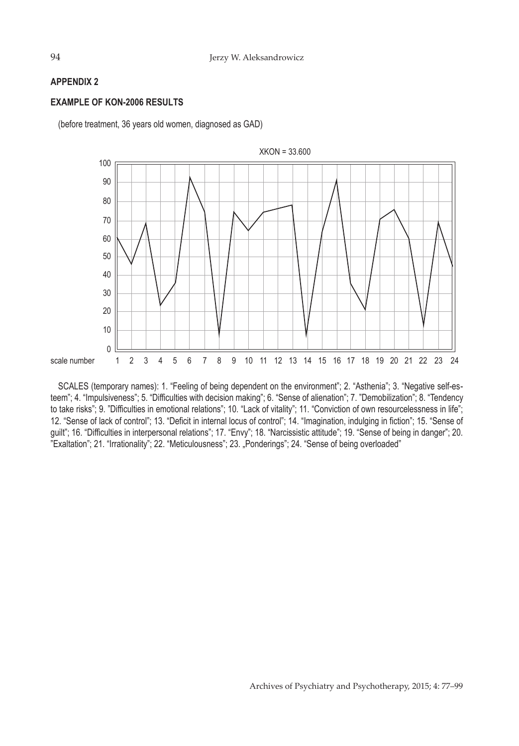## **APPENDIX 2**

## **EXAMPLE OF KON-2006 RESULTS**

(before treatment, 36 years old women, diagnosed as GAD)



SCALES (temporary names): 1. "Feeling of being dependent on the environment"; 2. "Asthenia"; 3. "Negative self-esteem"; 4. "Impulsiveness"; 5. "Difficulties with decision making"; 6. "Sense of alienation"; 7. "Demobilization"; 8. "Tendency to take risks"; 9. "Difficulties in emotional relations"; 10. "Lack of vitality"; 11. "Conviction of own resourcelessness in life"; 12. "Sense of lack of control"; 13. "Deficit in internal locus of control"; 14. "Imagination, indulging in fiction"; 15. "Sense of guilt"; 16. "Difficulties in interpersonal relations"; 17. "Envy"; 18. "Narcissistic attitude"; 19. "Sense of being in danger"; 20. "Exaltation"; 21. "Irrationality"; 22. "Meticulousness"; 23. "Ponderings"; 24. "Sense of being overloaded"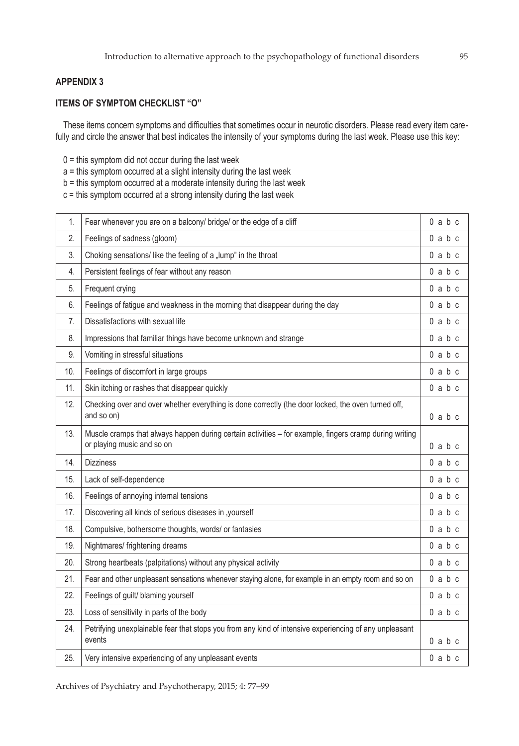## **APPENDIX 3**

# **ITEMS OF SYMPTOM CHECKLIST "O"**

These items concern symptoms and difficulties that sometimes occur in neurotic disorders. Please read every item carefully and circle the answer that best indicates the intensity of your symptoms during the last week. Please use this key:

- $0 =$  this symptom did not occur during the last week
- a = this symptom occurred at a slight intensity during the last week
- b = this symptom occurred at a moderate intensity during the last week
- c = this symptom occurred at a strong intensity during the last week

| 1.  | Fear whenever you are on a balcony/ bridge/ or the edge of a cliff                                                                   | $0$ a $b$ c |
|-----|--------------------------------------------------------------------------------------------------------------------------------------|-------------|
| 2.  | Feelings of sadness (gloom)                                                                                                          | $0$ a $b$ c |
| 3.  | Choking sensations/like the feeling of a "lump" in the throat                                                                        | $0$ a $b$ c |
| 4.  | Persistent feelings of fear without any reason                                                                                       | $0$ a $b$ c |
| 5.  | Frequent crying                                                                                                                      | $0$ a $b$ c |
| 6.  | Feelings of fatigue and weakness in the morning that disappear during the day                                                        | $0$ a $b$ c |
| 7.  | Dissatisfactions with sexual life                                                                                                    | $0$ a $b$ c |
| 8.  | Impressions that familiar things have become unknown and strange                                                                     | $0$ a $b$ c |
| 9.  | Vomiting in stressful situations                                                                                                     | $0$ a $b$ c |
| 10. | Feelings of discomfort in large groups                                                                                               | $0$ a $b$ c |
| 11. | Skin itching or rashes that disappear quickly                                                                                        | $0$ a $b$ c |
| 12. | Checking over and over whether everything is done correctly (the door locked, the oven turned off,<br>and so on)                     | $0$ a $b$ c |
| 13. | Muscle cramps that always happen during certain activities - for example, fingers cramp during writing<br>or playing music and so on | $0$ a $b$ c |
| 14. | <b>Dizziness</b>                                                                                                                     | $0$ a $b$ c |
| 15. | Lack of self-dependence                                                                                                              | $0$ a $b$ c |
| 16. | Feelings of annoying internal tensions                                                                                               | $0$ a $b$ c |
| 17. | Discovering all kinds of serious diseases in , yourself                                                                              | $0$ a $b$ c |
| 18. | Compulsive, bothersome thoughts, words/ or fantasies                                                                                 | $0$ a $b$ c |
| 19. | Nightmares/ frightening dreams                                                                                                       | $0$ a $b$ c |
| 20. | Strong heartbeats (palpitations) without any physical activity                                                                       | $0$ a $b$ c |
| 21. | Fear and other unpleasant sensations whenever staying alone, for example in an empty room and so on                                  | $0$ a $b$ c |
| 22. | Feelings of guilt/ blaming yourself                                                                                                  | $0$ a $b$ c |
| 23. | Loss of sensitivity in parts of the body                                                                                             | $0$ a $b$ c |
| 24. | Petrifying unexplainable fear that stops you from any kind of intensive experiencing of any unpleasant<br>events                     | $0$ a $b$ c |
| 25. | Very intensive experiencing of any unpleasant events                                                                                 | $0$ a $b$ c |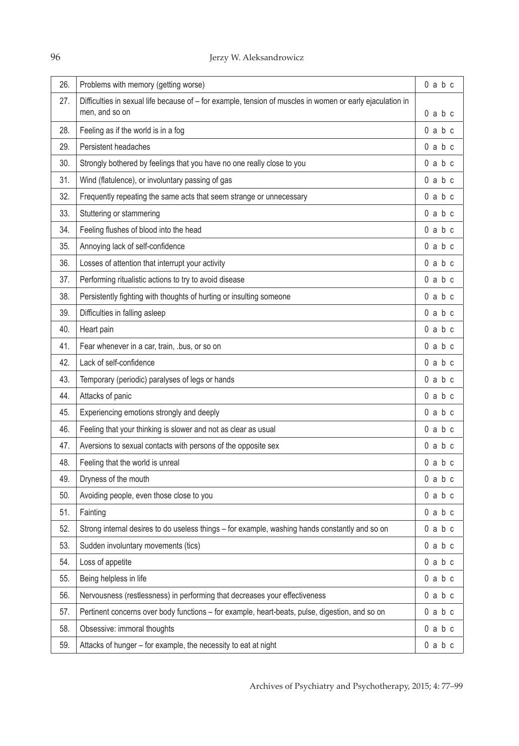| 26. | Problems with memory (getting worse)                                                                                        | $0$ a $b$ c |
|-----|-----------------------------------------------------------------------------------------------------------------------------|-------------|
| 27. | Difficulties in sexual life because of - for example, tension of muscles in women or early ejaculation in<br>men, and so on | $0$ a $b$ c |
| 28. | Feeling as if the world is in a fog                                                                                         | $0$ a $b$ c |
| 29. | Persistent headaches                                                                                                        | $0$ a $b$ c |
| 30. | Strongly bothered by feelings that you have no one really close to you                                                      | $0$ a $b$ c |
| 31. | Wind (flatulence), or involuntary passing of gas                                                                            | $0$ a $b$ c |
| 32. | Frequently repeating the same acts that seem strange or unnecessary                                                         | $0$ a $b$ c |
| 33. | Stuttering or stammering                                                                                                    | $0$ a $b$ c |
| 34. | Feeling flushes of blood into the head                                                                                      | $0$ a $b$ c |
| 35. | Annoying lack of self-confidence                                                                                            | $0$ a $b$ c |
| 36. | Losses of attention that interrupt your activity                                                                            | $0$ a $b$ c |
|     |                                                                                                                             |             |
| 37. | Performing ritualistic actions to try to avoid disease                                                                      | $0$ a $b$ c |
| 38. | Persistently fighting with thoughts of hurting or insulting someone                                                         | $0$ a $b$ c |
| 39. | Difficulties in falling asleep                                                                                              | $0$ a $b$ c |
| 40. | Heart pain                                                                                                                  | $0$ a $b$ c |
| 41. | Fear whenever in a car, train, .bus, or so on                                                                               | $0$ a $b$ c |
| 42. | Lack of self-confidence                                                                                                     | $0$ a $b$ c |
| 43. | Temporary (periodic) paralyses of legs or hands                                                                             | $0$ a $b$ c |
| 44. | Attacks of panic                                                                                                            | $0$ a $b$ c |
| 45. | Experiencing emotions strongly and deeply                                                                                   | $0$ a $b$ c |
| 46. | Feeling that your thinking is slower and not as clear as usual                                                              | $0$ a $b$ c |
| 47. | Aversions to sexual contacts with persons of the opposite sex                                                               | $0$ a $b$ c |
| 48. | Feeling that the world is unreal                                                                                            | $0$ a $b$ c |
| 49. | Dryness of the mouth                                                                                                        | $0$ a $b$ c |
| 50. | Avoiding people, even those close to you                                                                                    | $0$ a $b$ c |
| 51. | Fainting                                                                                                                    | $0$ a $b$ c |
| 52. | Strong internal desires to do useless things - for example, washing hands constantly and so on                              | $0$ a $b$ c |
| 53. | Sudden involuntary movements (tics)                                                                                         | $0$ a $b$ c |
| 54. | Loss of appetite                                                                                                            | $0$ a $b$ c |
| 55. | Being helpless in life                                                                                                      | $0$ a $b$ c |
| 56. | Nervousness (restlessness) in performing that decreases your effectiveness                                                  | $0$ a $b$ c |
| 57. | Pertinent concerns over body functions - for example, heart-beats, pulse, digestion, and so on                              | $0$ a $b$ c |
| 58. | Obsessive: immoral thoughts                                                                                                 | $0$ a $b$ c |
| 59. | Attacks of hunger - for example, the necessity to eat at night                                                              | $0$ a $b$ c |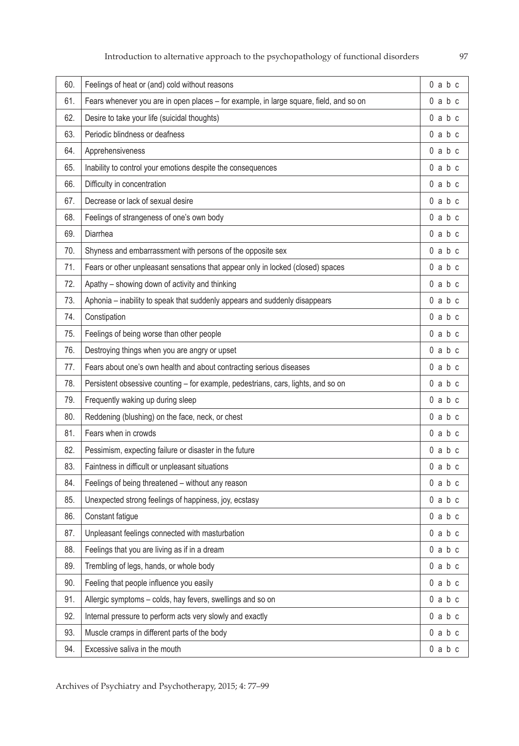| 60. | Feelings of heat or (and) cold without reasons                                         | $0$ a $b$ c |
|-----|----------------------------------------------------------------------------------------|-------------|
| 61. | Fears whenever you are in open places - for example, in large square, field, and so on | $0$ a $b$ c |
| 62. | Desire to take your life (suicidal thoughts)                                           | $0$ a $b$ c |
| 63. | Periodic blindness or deafness                                                         | $0$ a $b$ c |
| 64. | Apprehensiveness                                                                       | $0$ a $b$ c |
| 65. | Inability to control your emotions despite the consequences                            | $0$ a $b$ c |
| 66. | Difficulty in concentration                                                            | $0$ a $b$ c |
| 67. | Decrease or lack of sexual desire                                                      | $0$ a $b$ c |
| 68. | Feelings of strangeness of one's own body                                              | $0$ a $b$ c |
| 69. | Diarrhea                                                                               | $0$ a $b$ c |
| 70. | Shyness and embarrassment with persons of the opposite sex                             | $0$ a $b$ c |
| 71. | Fears or other unpleasant sensations that appear only in locked (closed) spaces        | $0$ a $b$ c |
| 72. | Apathy - showing down of activity and thinking                                         | $0$ a $b$ c |
| 73. | Aphonia - inability to speak that suddenly appears and suddenly disappears             | $0$ a $b$ c |
| 74. | Constipation                                                                           | $0$ a $b$ c |
| 75. | Feelings of being worse than other people                                              | $0$ a $b$ c |
| 76. | Destroying things when you are angry or upset                                          | $0$ a $b$ c |
| 77. | Fears about one's own health and about contracting serious diseases                    | $0$ a $b$ c |
| 78. | Persistent obsessive counting - for example, pedestrians, cars, lights, and so on      | $0$ a $b$ c |
| 79. | Frequently waking up during sleep                                                      | $0$ a $b$ c |
| 80. | Reddening (blushing) on the face, neck, or chest                                       | $0$ a $b$ c |
| 81. | Fears when in crowds                                                                   | $0$ a $b$ c |
| 82. | Pessimism, expecting failure or disaster in the future                                 | $0$ a $b$ c |
| 83. | Faintness in difficult or unpleasant situations                                        | $0$ a $b$ c |
| 84. | Feelings of being threatened - without any reason                                      | $0$ a $b$ c |
| 85. | Unexpected strong feelings of happiness, joy, ecstasy                                  | $0$ a $b$ c |
| 86. | Constant fatigue                                                                       | $0$ a $b$ c |
| 87. | Unpleasant feelings connected with masturbation                                        | $0$ a $b$ c |
| 88. | Feelings that you are living as if in a dream                                          | $0$ a $b$ c |
| 89. | Trembling of legs, hands, or whole body                                                | $0$ a $b$ c |
| 90. | Feeling that people influence you easily                                               | $0$ a $b$ c |
| 91. | Allergic symptoms - colds, hay fevers, swellings and so on                             | $0$ a $b$ c |
| 92. | Internal pressure to perform acts very slowly and exactly                              | $0$ a $b$ c |
| 93. | Muscle cramps in different parts of the body                                           | $0$ a $b$ c |
| 94. | Excessive saliva in the mouth                                                          | $0$ a $b$ c |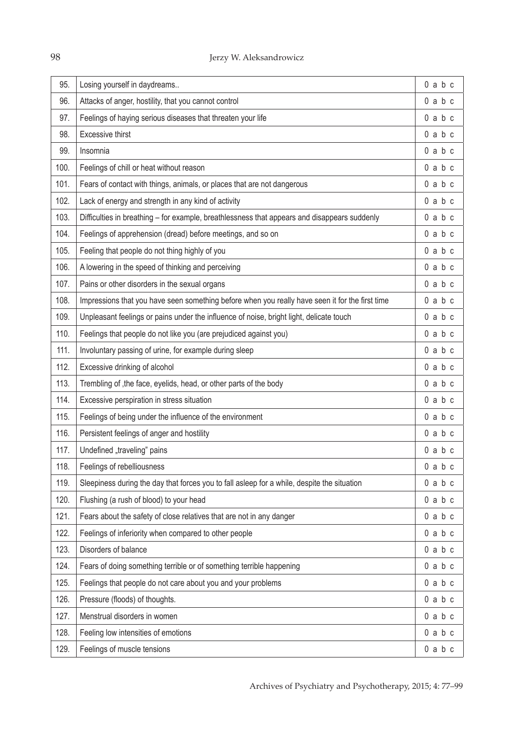| 95.  | Losing yourself in daydreams                                                                    | $0$ a $b$ c |
|------|-------------------------------------------------------------------------------------------------|-------------|
| 96.  | Attacks of anger, hostility, that you cannot control                                            | $0$ a $b$ c |
| 97.  | Feelings of haying serious diseases that threaten your life                                     | $0$ a $b$ c |
| 98.  | Excessive thirst                                                                                | $0$ a $b$ c |
| 99.  | Insomnia                                                                                        | $0$ a $b$ c |
| 100. | Feelings of chill or heat without reason                                                        | $0$ a $b$ c |
| 101. | Fears of contact with things, animals, or places that are not dangerous                         | $0$ a $b$ c |
| 102. | Lack of energy and strength in any kind of activity                                             | $0$ a $b$ c |
| 103. | Difficulties in breathing - for example, breathlessness that appears and disappears suddenly    | $0$ a $b$ c |
| 104. | Feelings of apprehension (dread) before meetings, and so on                                     | $0$ a $b$ c |
| 105. | Feeling that people do not thing highly of you                                                  | $0$ a $b$ c |
| 106. | A lowering in the speed of thinking and perceiving                                              | $0$ a $b$ c |
| 107. | Pains or other disorders in the sexual organs                                                   | $0$ a $b$ c |
| 108. | Impressions that you have seen something before when you really have seen it for the first time | $0$ a $b$ c |
| 109. | Unpleasant feelings or pains under the influence of noise, bright light, delicate touch         | $0$ a $b$ c |
| 110. | Feelings that people do not like you (are prejudiced against you)                               | $0$ a $b$ c |
| 111. | Involuntary passing of urine, for example during sleep                                          | $0$ a $b$ c |
| 112. | Excessive drinking of alcohol                                                                   | $0$ a $b$ c |
| 113. | Trembling of , the face, eyelids, head, or other parts of the body                              | $0$ a $b$ c |
| 114. | Excessive perspiration in stress situation                                                      | $0$ a $b$ c |
| 115. | Feelings of being under the influence of the environment                                        | $0$ a $b$ c |
| 116. | Persistent feelings of anger and hostility                                                      | $0$ a $b$ c |
| 117. | Undefined "traveling" pains                                                                     | $0$ a $b$ c |
| 118. | Feelings of rebelliousness                                                                      | $0$ a $b$ c |
| 119. | Sleepiness during the day that forces you to fall asleep for a while, despite the situation     | $0$ a $b$ c |
| 120. | Flushing (a rush of blood) to your head                                                         | $0$ a $b$ c |
| 121. | Fears about the safety of close relatives that are not in any danger                            | $0$ a $b$ c |
| 122. | Feelings of inferiority when compared to other people                                           | $0$ a $b$ c |
| 123. | Disorders of balance                                                                            | $0$ a $b$ c |
| 124. | Fears of doing something terrible or of something terrible happening                            | $0$ a $b$ c |
| 125. | Feelings that people do not care about you and your problems                                    | $0$ a $b$ c |
| 126. | Pressure (floods) of thoughts.                                                                  | $0$ a $b$ c |
| 127. | Menstrual disorders in women                                                                    | $0$ a $b$ c |
| 128. | Feeling low intensities of emotions                                                             | $0$ a $b$ c |
| 129. | Feelings of muscle tensions                                                                     | $0$ a $b$ c |